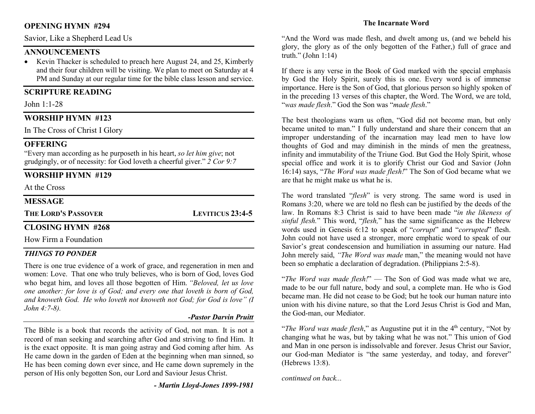## OPENING HYMN #294

Savior, Like a Shepherd Lead Us

## ANNOUNCEMENTS

• Kevin Thacker is scheduled to preach here August 24, and 25, Kimberly and their four children will be visiting. We plan to meet on Saturday at 4 PM and Sunday at our regular time for the bible class lesson and service.

## SCRIPTURE READING

John 1:1-28

# WORSHIP HYMN #123

In The Cross of Christ I Glory

## **OFFERING**

"Every man according as he purposeth in his heart, so let him give; not grudgingly, or of necessity: for God loveth a cheerful giver." 2 Cor 9:7

## WORSHIP HYMN #129

At the Cross

## **MESSAGE**

THE LORD'S PASSOVER LEVITICUS 23:4-5

## CLOSING HYMN #268

How Firm a Foundation

### THINGS TO PONDER

There is one true evidence of a work of grace, and regeneration in men and women: Love. That one who truly believes, who is born of God, loves God who begat him, and loves all those begotten of Him. "Beloved, let us love one another: for love is of God; and every one that loveth is born of God, and knoweth God. He who loveth not knoweth not God; for God is love" (I John 4:7-8).

#### -Pastor Darvin Pruitt

The Bible is a book that records the activity of God, not man. It is not a record of man seeking and searching after God and striving to find Him. It is the exact opposite. It is man going astray and God coming after him. As He came down in the garden of Eden at the beginning when man sinned, so He has been coming down ever since, and He came down supremely in the person of His only begotten Son, our Lord and Saviour Jesus Christ.

- Martin Lloyd-Jones 1899-1981

### The Incarnate Word

"And the Word was made flesh, and dwelt among us, (and we beheld his glory, the glory as of the only begotten of the Father,) full of grace and truth." (John 1:14)

If there is any verse in the Book of God marked with the special emphasis by God the Holy Spirit, surely this is one. Every word is of immense importance. Here is the Son of God, that glorious person so highly spoken of in the preceding 13 verses of this chapter, the Word. The Word, we are told, "was made flesh." God the Son was "made flesh."

The best theologians warn us often, "God did not become man, but only became united to man." I fully understand and share their concern that an improper understanding of the incarnation may lead men to have low thoughts of God and may diminish in the minds of men the greatness, infinity and immutability of the Triune God. But God the Holy Spirit, whose special office and work it is to glorify Christ our God and Savior (John 16:14) says, "The Word was made flesh!" The Son of God became what we are that he might make us what he is.

The word translated "flesh" is very strong. The same word is used in Romans 3:20, where we are told no flesh can be justified by the deeds of the law. In Romans 8:3 Christ is said to have been made "in the likeness of sinful flesh." This word, "flesh," has the same significance as the Hebrew words used in Genesis 6:12 to speak of "corrupt" and "corrupted" flesh. John could not have used a stronger, more emphatic word to speak of our Savior's great condescension and humiliation in assuming our nature. Had John merely said, "The Word was made man," the meaning would not have been so emphatic a declaration of degradation. (Philippians 2:5-8).

"The Word was made flesh!"  $-$  The Son of God was made what we are, made to be our full nature, body and soul, a complete man. He who is God became man. He did not cease to be God; but he took our human nature into union with his divine nature, so that the Lord Jesus Christ is God and Man, the God-man, our Mediator.

"The Word was made flesh," as Augustine put it in the  $4<sup>th</sup>$  century, "Not by changing what he was, but by taking what he was not." This union of God and Man in one person is indissolvable and forever. Jesus Christ our Savior, our God-man Mediator is "the same yesterday, and today, and forever" (Hebrews 13:8).

continued on back...